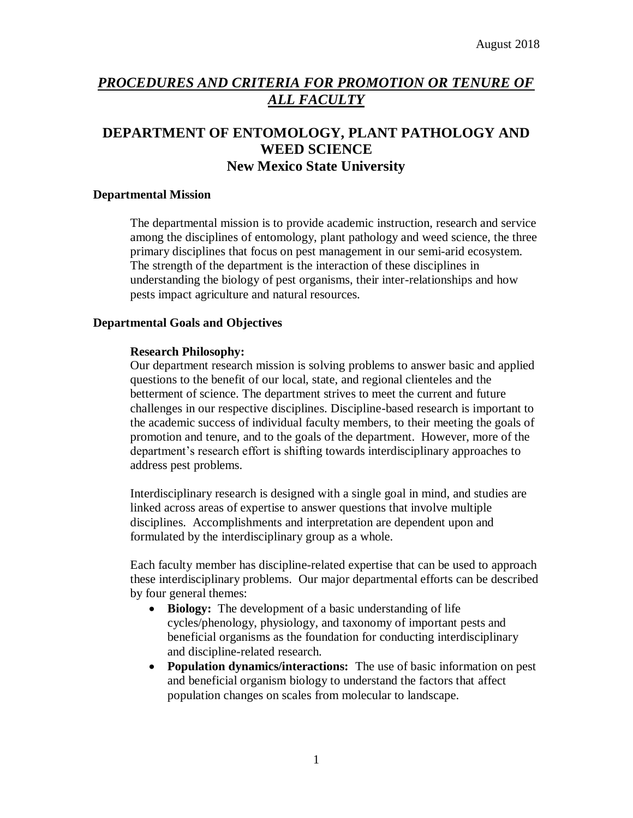# *PROCEDURES AND CRITERIA FOR PROMOTION OR TENURE OF ALL FACULTY*

# **DEPARTMENT OF ENTOMOLOGY, PLANT PATHOLOGY AND WEED SCIENCE New Mexico State University**

#### **Departmental Mission**

The departmental mission is to provide academic instruction, research and service among the disciplines of entomology, plant pathology and weed science, the three primary disciplines that focus on pest management in our semi-arid ecosystem. The strength of the department is the interaction of these disciplines in understanding the biology of pest organisms, their inter-relationships and how pests impact agriculture and natural resources.

## **Departmental Goals and Objectives**

## **Research Philosophy:**

Our department research mission is solving problems to answer basic and applied questions to the benefit of our local, state, and regional clienteles and the betterment of science. The department strives to meet the current and future challenges in our respective disciplines. Discipline-based research is important to the academic success of individual faculty members, to their meeting the goals of promotion and tenure, and to the goals of the department. However, more of the department's research effort is shifting towards interdisciplinary approaches to address pest problems.

Interdisciplinary research is designed with a single goal in mind, and studies are linked across areas of expertise to answer questions that involve multiple disciplines. Accomplishments and interpretation are dependent upon and formulated by the interdisciplinary group as a whole.

Each faculty member has discipline-related expertise that can be used to approach these interdisciplinary problems. Our major departmental efforts can be described by four general themes:

- Biology: The development of a basic understanding of life cycles/phenology, physiology, and taxonomy of important pests and beneficial organisms as the foundation for conducting interdisciplinary and discipline-related research.
- **Population dynamics/interactions:** The use of basic information on pest and beneficial organism biology to understand the factors that affect population changes on scales from molecular to landscape.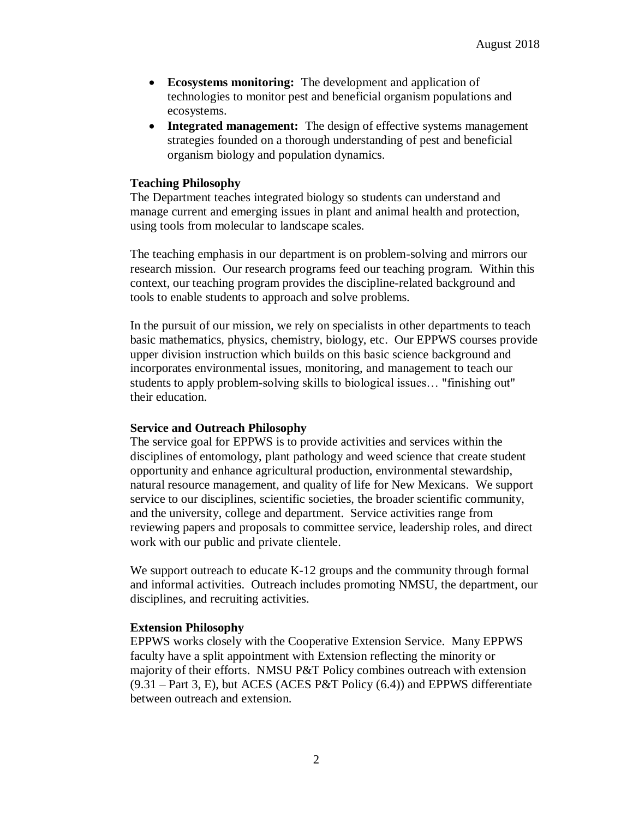- **Ecosystems monitoring:** The development and application of technologies to monitor pest and beneficial organism populations and ecosystems.
- **Integrated management:** The design of effective systems management strategies founded on a thorough understanding of pest and beneficial organism biology and population dynamics.

### **Teaching Philosophy**

The Department teaches integrated biology so students can understand and manage current and emerging issues in plant and animal health and protection, using tools from molecular to landscape scales.

The teaching emphasis in our department is on problem-solving and mirrors our research mission. Our research programs feed our teaching program. Within this context, our teaching program provides the discipline-related background and tools to enable students to approach and solve problems.

In the pursuit of our mission, we rely on specialists in other departments to teach basic mathematics, physics, chemistry, biology, etc. Our EPPWS courses provide upper division instruction which builds on this basic science background and incorporates environmental issues, monitoring, and management to teach our students to apply problem-solving skills to biological issues… "finishing out" their education.

#### **Service and Outreach Philosophy**

The service goal for EPPWS is to provide activities and services within the disciplines of entomology, plant pathology and weed science that create student opportunity and enhance agricultural production, environmental stewardship, natural resource management, and quality of life for New Mexicans. We support service to our disciplines, scientific societies, the broader scientific community, and the university, college and department. Service activities range from reviewing papers and proposals to committee service, leadership roles, and direct work with our public and private clientele.

We support outreach to educate K-12 groups and the community through formal and informal activities. Outreach includes promoting NMSU, the department, our disciplines, and recruiting activities.

# **Extension Philosophy**

EPPWS works closely with the Cooperative Extension Service. Many EPPWS faculty have a split appointment with Extension reflecting the minority or majority of their efforts. NMSU P&T Policy combines outreach with extension (9.31 – Part 3, E), but ACES (ACES P&T Policy (6.4)) and EPPWS differentiate between outreach and extension.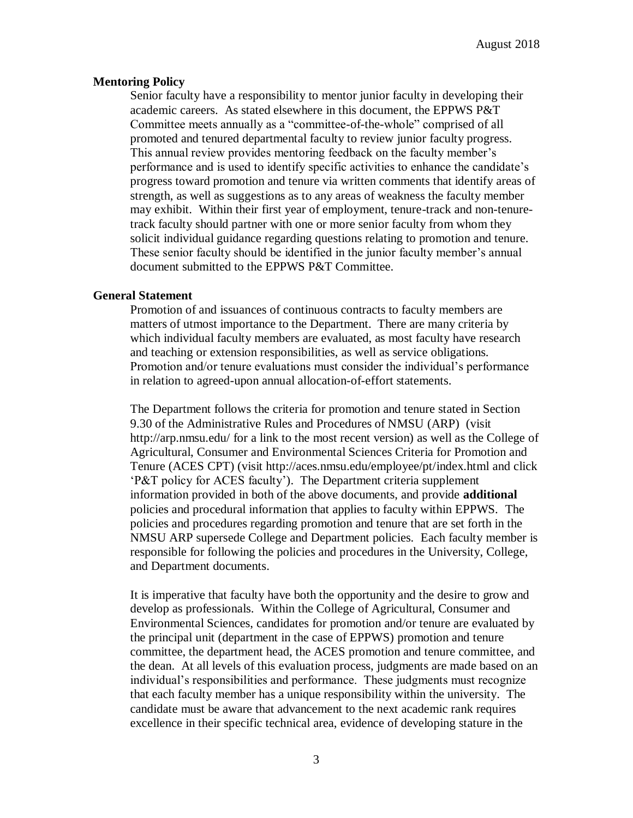#### **Mentoring Policy**

Senior faculty have a responsibility to mentor junior faculty in developing their academic careers. As stated elsewhere in this document, the EPPWS P&T Committee meets annually as a "committee-of-the-whole" comprised of all promoted and tenured departmental faculty to review junior faculty progress. This annual review provides mentoring feedback on the faculty member's performance and is used to identify specific activities to enhance the candidate's progress toward promotion and tenure via written comments that identify areas of strength, as well as suggestions as to any areas of weakness the faculty member may exhibit. Within their first year of employment, tenure-track and non-tenuretrack faculty should partner with one or more senior faculty from whom they solicit individual guidance regarding questions relating to promotion and tenure. These senior faculty should be identified in the junior faculty member's annual document submitted to the EPPWS P&T Committee.

## **General Statement**

Promotion of and issuances of continuous contracts to faculty members are matters of utmost importance to the Department. There are many criteria by which individual faculty members are evaluated, as most faculty have research and teaching or extension responsibilities, as well as service obligations. Promotion and/or tenure evaluations must consider the individual's performance in relation to agreed-upon annual allocation-of-effort statements.

The Department follows the criteria for promotion and tenure stated in Section 9.30 of the Administrative Rules and Procedures of NMSU (ARP) (visit http://arp.nmsu.edu/ for a link to the most recent version) as well as the College of Agricultural, Consumer and Environmental Sciences Criteria for Promotion and Tenure (ACES CPT) (visit http://aces.nmsu.edu/employee/pt/index.html and click 'P&T policy for ACES faculty'). The Department criteria supplement information provided in both of the above documents, and provide **additional** policies and procedural information that applies to faculty within EPPWS. The policies and procedures regarding promotion and tenure that are set forth in the NMSU ARP supersede College and Department policies. Each faculty member is responsible for following the policies and procedures in the University, College, and Department documents.

It is imperative that faculty have both the opportunity and the desire to grow and develop as professionals. Within the College of Agricultural, Consumer and Environmental Sciences, candidates for promotion and/or tenure are evaluated by the principal unit (department in the case of EPPWS) promotion and tenure committee, the department head, the ACES promotion and tenure committee, and the dean. At all levels of this evaluation process, judgments are made based on an individual's responsibilities and performance. These judgments must recognize that each faculty member has a unique responsibility within the university. The candidate must be aware that advancement to the next academic rank requires excellence in their specific technical area, evidence of developing stature in the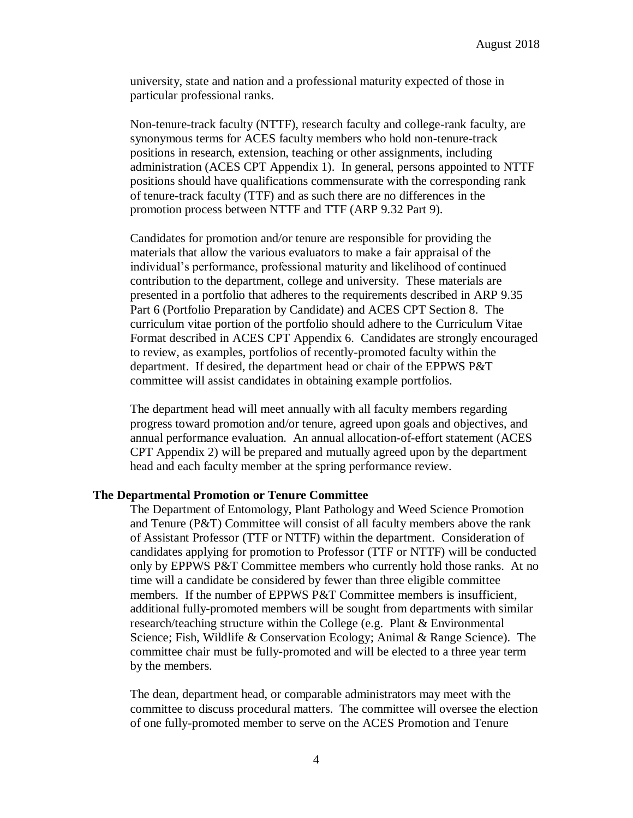university, state and nation and a professional maturity expected of those in particular professional ranks.

Non-tenure-track faculty (NTTF), research faculty and college-rank faculty, are synonymous terms for ACES faculty members who hold non-tenure-track positions in research, extension, teaching or other assignments, including administration (ACES CPT Appendix 1). In general, persons appointed to NTTF positions should have qualifications commensurate with the corresponding rank of tenure-track faculty (TTF) and as such there are no differences in the promotion process between NTTF and TTF (ARP 9.32 Part 9).

Candidates for promotion and/or tenure are responsible for providing the materials that allow the various evaluators to make a fair appraisal of the individual's performance, professional maturity and likelihood of continued contribution to the department, college and university. These materials are presented in a portfolio that adheres to the requirements described in ARP 9.35 Part 6 (Portfolio Preparation by Candidate) and ACES CPT Section 8. The curriculum vitae portion of the portfolio should adhere to the Curriculum Vitae Format described in ACES CPT Appendix 6. Candidates are strongly encouraged to review, as examples, portfolios of recently-promoted faculty within the department. If desired, the department head or chair of the EPPWS P&T committee will assist candidates in obtaining example portfolios.

The department head will meet annually with all faculty members regarding progress toward promotion and/or tenure, agreed upon goals and objectives, and annual performance evaluation. An annual allocation-of-effort statement (ACES CPT Appendix 2) will be prepared and mutually agreed upon by the department head and each faculty member at the spring performance review.

#### **The Departmental Promotion or Tenure Committee**

The Department of Entomology, Plant Pathology and Weed Science Promotion and Tenure (P&T) Committee will consist of all faculty members above the rank of Assistant Professor (TTF or NTTF) within the department. Consideration of candidates applying for promotion to Professor (TTF or NTTF) will be conducted only by EPPWS P&T Committee members who currently hold those ranks. At no time will a candidate be considered by fewer than three eligible committee members. If the number of EPPWS P&T Committee members is insufficient, additional fully-promoted members will be sought from departments with similar research/teaching structure within the College (e.g. Plant & Environmental Science; Fish, Wildlife & Conservation Ecology; Animal & Range Science). The committee chair must be fully-promoted and will be elected to a three year term by the members.

The dean, department head, or comparable administrators may meet with the committee to discuss procedural matters. The committee will oversee the election of one fully-promoted member to serve on the ACES Promotion and Tenure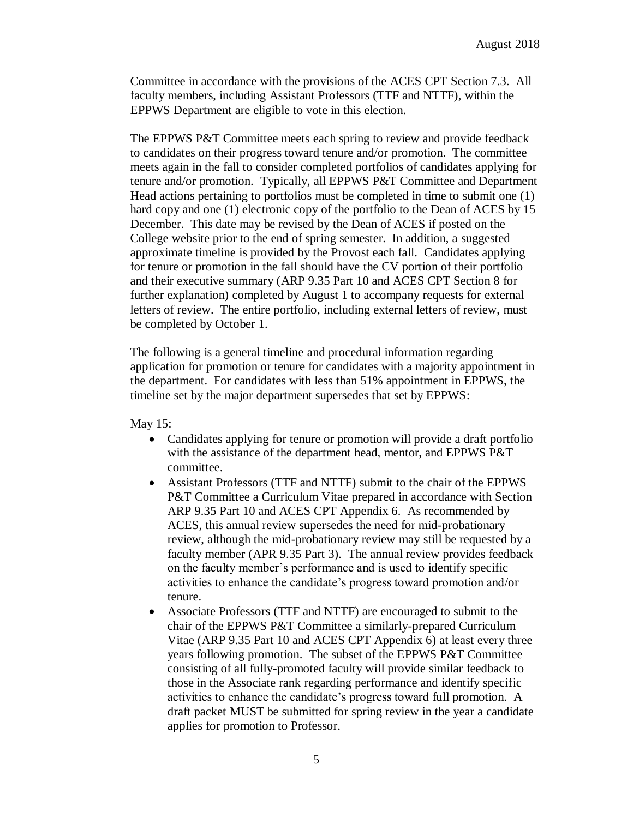Committee in accordance with the provisions of the ACES CPT Section 7.3. All faculty members, including Assistant Professors (TTF and NTTF), within the EPPWS Department are eligible to vote in this election.

The EPPWS P&T Committee meets each spring to review and provide feedback to candidates on their progress toward tenure and/or promotion. The committee meets again in the fall to consider completed portfolios of candidates applying for tenure and/or promotion. Typically, all EPPWS P&T Committee and Department Head actions pertaining to portfolios must be completed in time to submit one (1) hard copy and one (1) electronic copy of the portfolio to the Dean of ACES by 15 December. This date may be revised by the Dean of ACES if posted on the College website prior to the end of spring semester. In addition, a suggested approximate timeline is provided by the Provost each fall. Candidates applying for tenure or promotion in the fall should have the CV portion of their portfolio and their executive summary (ARP 9.35 Part 10 and ACES CPT Section 8 for further explanation) completed by August 1 to accompany requests for external letters of review. The entire portfolio, including external letters of review, must be completed by October 1.

The following is a general timeline and procedural information regarding application for promotion or tenure for candidates with a majority appointment in the department. For candidates with less than 51% appointment in EPPWS, the timeline set by the major department supersedes that set by EPPWS:

May 15:

- Candidates applying for tenure or promotion will provide a draft portfolio with the assistance of the department head, mentor, and EPPWS P&T committee.
- Assistant Professors (TTF and NTTF) submit to the chair of the EPPWS P&T Committee a Curriculum Vitae prepared in accordance with Section ARP 9.35 Part 10 and ACES CPT Appendix 6. As recommended by ACES, this annual review supersedes the need for mid-probationary review, although the mid-probationary review may still be requested by a faculty member (APR 9.35 Part 3). The annual review provides feedback on the faculty member's performance and is used to identify specific activities to enhance the candidate's progress toward promotion and/or tenure.
- Associate Professors (TTF and NTTF) are encouraged to submit to the chair of the EPPWS P&T Committee a similarly-prepared Curriculum Vitae (ARP 9.35 Part 10 and ACES CPT Appendix 6) at least every three years following promotion. The subset of the EPPWS P&T Committee consisting of all fully-promoted faculty will provide similar feedback to those in the Associate rank regarding performance and identify specific activities to enhance the candidate's progress toward full promotion. A draft packet MUST be submitted for spring review in the year a candidate applies for promotion to Professor.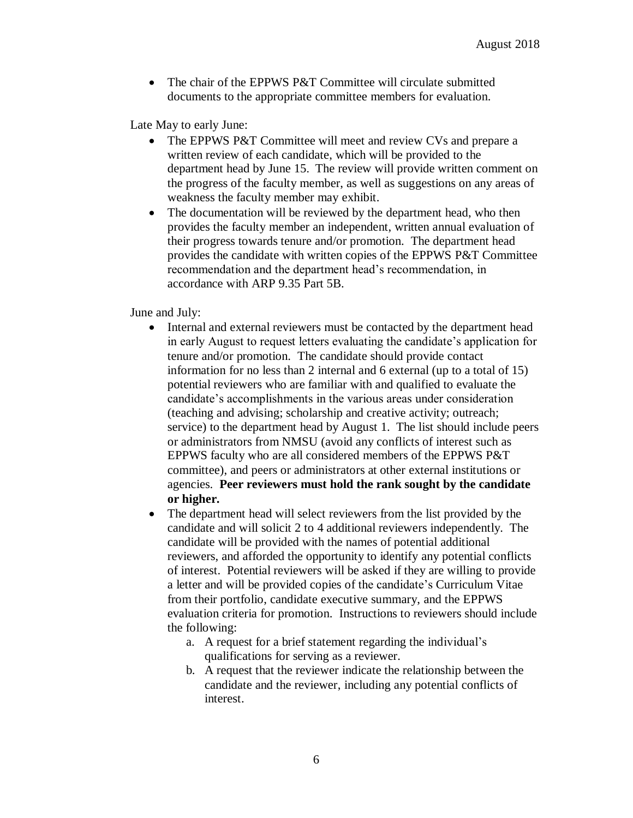• The chair of the EPPWS P&T Committee will circulate submitted documents to the appropriate committee members for evaluation.

Late May to early June:

- The EPPWS P&T Committee will meet and review CVs and prepare a written review of each candidate, which will be provided to the department head by June 15. The review will provide written comment on the progress of the faculty member, as well as suggestions on any areas of weakness the faculty member may exhibit.
- The documentation will be reviewed by the department head, who then provides the faculty member an independent, written annual evaluation of their progress towards tenure and/or promotion. The department head provides the candidate with written copies of the EPPWS P&T Committee recommendation and the department head's recommendation, in accordance with ARP 9.35 Part 5B.

June and July:

- Internal and external reviewers must be contacted by the department head in early August to request letters evaluating the candidate's application for tenure and/or promotion. The candidate should provide contact information for no less than 2 internal and 6 external (up to a total of 15) potential reviewers who are familiar with and qualified to evaluate the candidate's accomplishments in the various areas under consideration (teaching and advising; scholarship and creative activity; outreach; service) to the department head by August 1. The list should include peers or administrators from NMSU (avoid any conflicts of interest such as EPPWS faculty who are all considered members of the EPPWS P&T committee), and peers or administrators at other external institutions or agencies. **Peer reviewers must hold the rank sought by the candidate or higher.**
- The department head will select reviewers from the list provided by the candidate and will solicit 2 to 4 additional reviewers independently. The candidate will be provided with the names of potential additional reviewers, and afforded the opportunity to identify any potential conflicts of interest. Potential reviewers will be asked if they are willing to provide a letter and will be provided copies of the candidate's Curriculum Vitae from their portfolio, candidate executive summary, and the EPPWS evaluation criteria for promotion. Instructions to reviewers should include the following:
	- a. A request for a brief statement regarding the individual's qualifications for serving as a reviewer.
	- b. A request that the reviewer indicate the relationship between the candidate and the reviewer, including any potential conflicts of interest.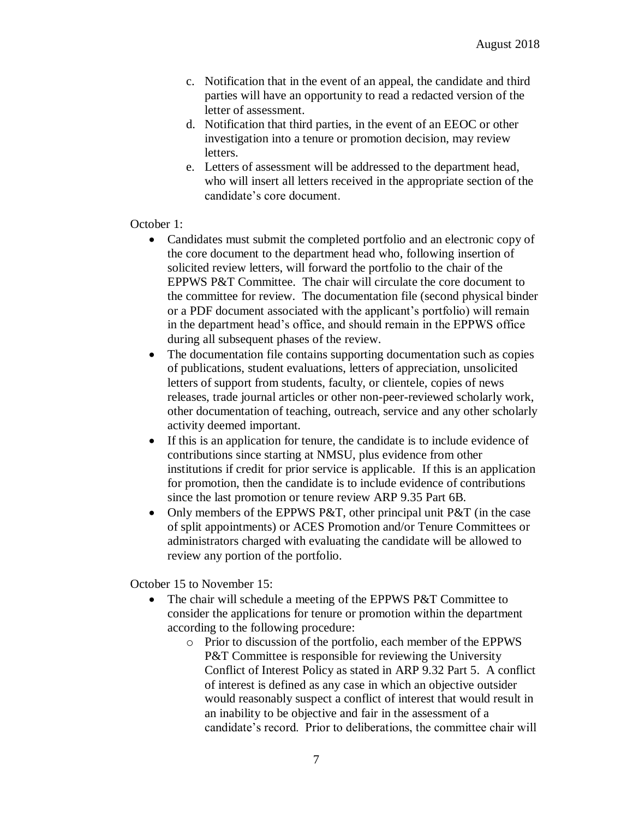- c. Notification that in the event of an appeal, the candidate and third parties will have an opportunity to read a redacted version of the letter of assessment.
- d. Notification that third parties, in the event of an EEOC or other investigation into a tenure or promotion decision, may review letters.
- e. Letters of assessment will be addressed to the department head, who will insert all letters received in the appropriate section of the candidate's core document.

## October 1:

- Candidates must submit the completed portfolio and an electronic copy of the core document to the department head who, following insertion of solicited review letters, will forward the portfolio to the chair of the EPPWS P&T Committee. The chair will circulate the core document to the committee for review. The documentation file (second physical binder or a PDF document associated with the applicant's portfolio) will remain in the department head's office, and should remain in the EPPWS office during all subsequent phases of the review.
- The documentation file contains supporting documentation such as copies of publications, student evaluations, letters of appreciation, unsolicited letters of support from students, faculty, or clientele, copies of news releases, trade journal articles or other non-peer-reviewed scholarly work, other documentation of teaching, outreach, service and any other scholarly activity deemed important.
- If this is an application for tenure, the candidate is to include evidence of contributions since starting at NMSU, plus evidence from other institutions if credit for prior service is applicable. If this is an application for promotion, then the candidate is to include evidence of contributions since the last promotion or tenure review ARP 9.35 Part 6B.
- Only members of the EPPWS P&T, other principal unit P&T (in the case of split appointments) or ACES Promotion and/or Tenure Committees or administrators charged with evaluating the candidate will be allowed to review any portion of the portfolio.

October 15 to November 15:

- The chair will schedule a meeting of the EPPWS P&T Committee to consider the applications for tenure or promotion within the department according to the following procedure:
	- o Prior to discussion of the portfolio, each member of the EPPWS P&T Committee is responsible for reviewing the University Conflict of Interest Policy as stated in ARP 9.32 Part 5. A conflict of interest is defined as any case in which an objective outsider would reasonably suspect a conflict of interest that would result in an inability to be objective and fair in the assessment of a candidate's record. Prior to deliberations, the committee chair will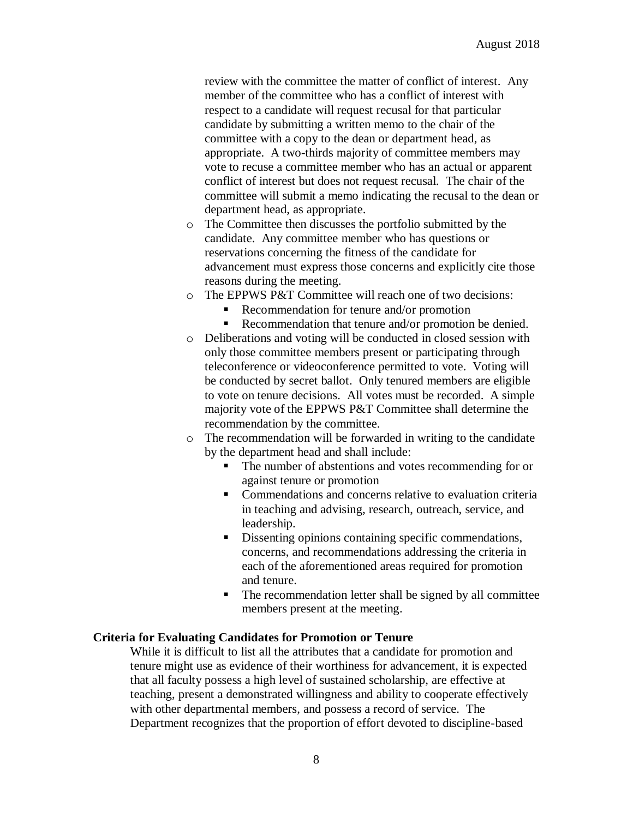review with the committee the matter of conflict of interest. Any member of the committee who has a conflict of interest with respect to a candidate will request recusal for that particular candidate by submitting a written memo to the chair of the committee with a copy to the dean or department head, as appropriate. A two-thirds majority of committee members may vote to recuse a committee member who has an actual or apparent conflict of interest but does not request recusal. The chair of the committee will submit a memo indicating the recusal to the dean or department head, as appropriate.

- o The Committee then discusses the portfolio submitted by the candidate. Any committee member who has questions or reservations concerning the fitness of the candidate for advancement must express those concerns and explicitly cite those reasons during the meeting.
- o The EPPWS P&T Committee will reach one of two decisions:
	- Recommendation for tenure and/or promotion
	- Recommendation that tenure and/or promotion be denied.
- o Deliberations and voting will be conducted in closed session with only those committee members present or participating through teleconference or videoconference permitted to vote. Voting will be conducted by secret ballot. Only tenured members are eligible to vote on tenure decisions. All votes must be recorded. A simple majority vote of the EPPWS P&T Committee shall determine the recommendation by the committee.
- o The recommendation will be forwarded in writing to the candidate by the department head and shall include:
	- The number of abstentions and votes recommending for or against tenure or promotion
	- **Commendations and concerns relative to evaluation criteria** in teaching and advising, research, outreach, service, and leadership.
	- Dissenting opinions containing specific commendations, concerns, and recommendations addressing the criteria in each of the aforementioned areas required for promotion and tenure.
	- The recommendation letter shall be signed by all committee members present at the meeting.

#### **Criteria for Evaluating Candidates for Promotion or Tenure**

While it is difficult to list all the attributes that a candidate for promotion and tenure might use as evidence of their worthiness for advancement, it is expected that all faculty possess a high level of sustained scholarship, are effective at teaching, present a demonstrated willingness and ability to cooperate effectively with other departmental members, and possess a record of service. The Department recognizes that the proportion of effort devoted to discipline-based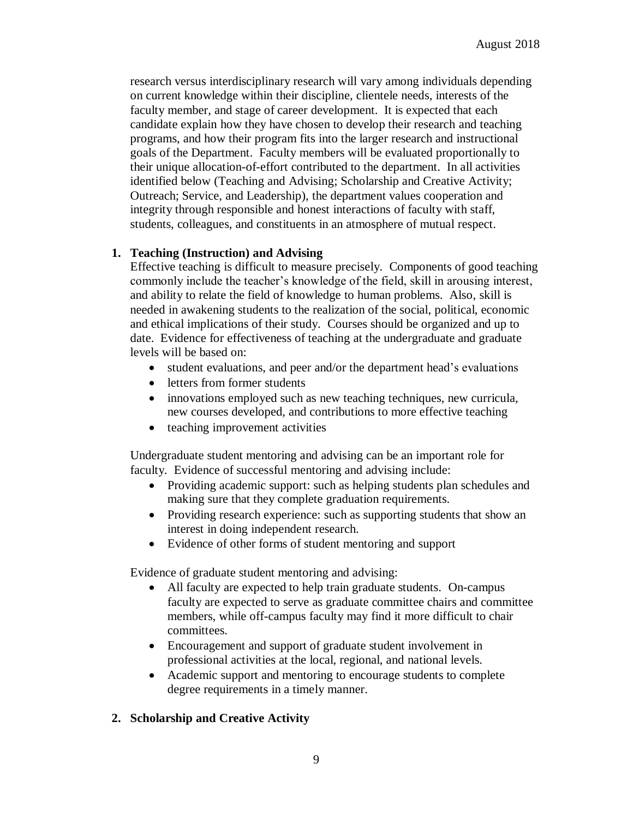research versus interdisciplinary research will vary among individuals depending on current knowledge within their discipline, clientele needs, interests of the faculty member, and stage of career development. It is expected that each candidate explain how they have chosen to develop their research and teaching programs, and how their program fits into the larger research and instructional goals of the Department. Faculty members will be evaluated proportionally to their unique allocation-of-effort contributed to the department. In all activities identified below (Teaching and Advising; Scholarship and Creative Activity; Outreach; Service, and Leadership), the department values cooperation and integrity through responsible and honest interactions of faculty with staff, students, colleagues, and constituents in an atmosphere of mutual respect.

## **1. Teaching (Instruction) and Advising**

Effective teaching is difficult to measure precisely. Components of good teaching commonly include the teacher's knowledge of the field, skill in arousing interest, and ability to relate the field of knowledge to human problems. Also, skill is needed in awakening students to the realization of the social, political, economic and ethical implications of their study. Courses should be organized and up to date. Evidence for effectiveness of teaching at the undergraduate and graduate levels will be based on:

- student evaluations, and peer and/or the department head's evaluations
- letters from former students
- innovations employed such as new teaching techniques, new curricula, new courses developed, and contributions to more effective teaching
- teaching improvement activities

Undergraduate student mentoring and advising can be an important role for faculty. Evidence of successful mentoring and advising include:

- Providing academic support: such as helping students plan schedules and making sure that they complete graduation requirements.
- Providing research experience: such as supporting students that show an interest in doing independent research.
- Evidence of other forms of student mentoring and support

Evidence of graduate student mentoring and advising:

- All faculty are expected to help train graduate students. On-campus faculty are expected to serve as graduate committee chairs and committee members, while off-campus faculty may find it more difficult to chair committees.
- Encouragement and support of graduate student involvement in professional activities at the local, regional, and national levels.
- Academic support and mentoring to encourage students to complete degree requirements in a timely manner.

# **2. Scholarship and Creative Activity**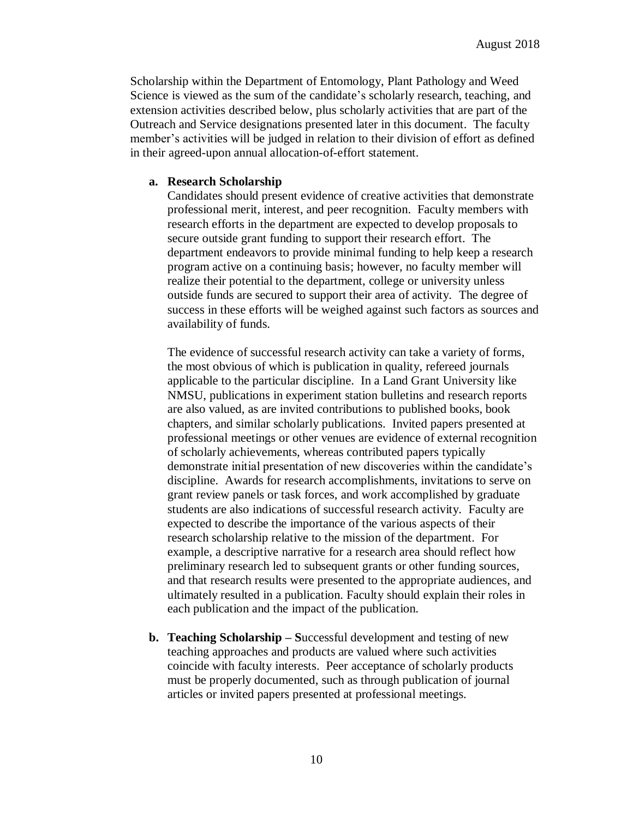Scholarship within the Department of Entomology, Plant Pathology and Weed Science is viewed as the sum of the candidate's scholarly research, teaching, and extension activities described below, plus scholarly activities that are part of the Outreach and Service designations presented later in this document. The faculty member's activities will be judged in relation to their division of effort as defined in their agreed-upon annual allocation-of-effort statement.

#### **a. Research Scholarship**

Candidates should present evidence of creative activities that demonstrate professional merit, interest, and peer recognition. Faculty members with research efforts in the department are expected to develop proposals to secure outside grant funding to support their research effort. The department endeavors to provide minimal funding to help keep a research program active on a continuing basis; however, no faculty member will realize their potential to the department, college or university unless outside funds are secured to support their area of activity. The degree of success in these efforts will be weighed against such factors as sources and availability of funds.

The evidence of successful research activity can take a variety of forms, the most obvious of which is publication in quality, refereed journals applicable to the particular discipline. In a Land Grant University like NMSU, publications in experiment station bulletins and research reports are also valued, as are invited contributions to published books, book chapters, and similar scholarly publications. Invited papers presented at professional meetings or other venues are evidence of external recognition of scholarly achievements, whereas contributed papers typically demonstrate initial presentation of new discoveries within the candidate's discipline. Awards for research accomplishments, invitations to serve on grant review panels or task forces, and work accomplished by graduate students are also indications of successful research activity. Faculty are expected to describe the importance of the various aspects of their research scholarship relative to the mission of the department. For example, a descriptive narrative for a research area should reflect how preliminary research led to subsequent grants or other funding sources, and that research results were presented to the appropriate audiences, and ultimately resulted in a publication. Faculty should explain their roles in each publication and the impact of the publication.

**b. Teaching Scholarship – S**uccessful development and testing of new teaching approaches and products are valued where such activities coincide with faculty interests. Peer acceptance of scholarly products must be properly documented, such as through publication of journal articles or invited papers presented at professional meetings.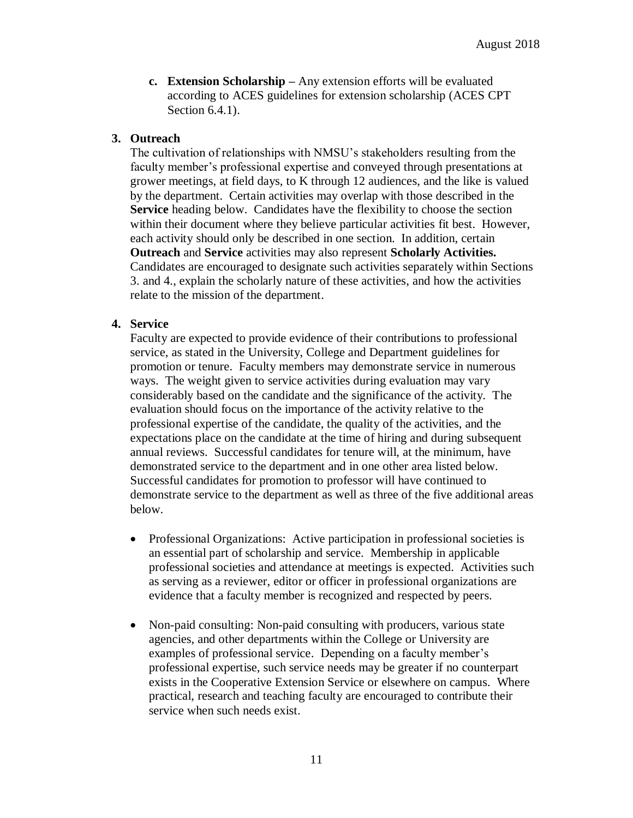**c. Extension Scholarship –** Any extension efforts will be evaluated according to ACES guidelines for extension scholarship (ACES CPT Section 6.4.1).

# **3. Outreach**

The cultivation of relationships with NMSU's stakeholders resulting from the faculty member's professional expertise and conveyed through presentations at grower meetings, at field days, to K through 12 audiences, and the like is valued by the department. Certain activities may overlap with those described in the **Service** heading below. Candidates have the flexibility to choose the section within their document where they believe particular activities fit best. However, each activity should only be described in one section. In addition, certain **Outreach** and **Service** activities may also represent **Scholarly Activities.**  Candidates are encouraged to designate such activities separately within Sections 3. and 4., explain the scholarly nature of these activities, and how the activities relate to the mission of the department.

# **4. Service**

Faculty are expected to provide evidence of their contributions to professional service, as stated in the University, College and Department guidelines for promotion or tenure. Faculty members may demonstrate service in numerous ways. The weight given to service activities during evaluation may vary considerably based on the candidate and the significance of the activity. The evaluation should focus on the importance of the activity relative to the professional expertise of the candidate, the quality of the activities, and the expectations place on the candidate at the time of hiring and during subsequent annual reviews. Successful candidates for tenure will, at the minimum, have demonstrated service to the department and in one other area listed below. Successful candidates for promotion to professor will have continued to demonstrate service to the department as well as three of the five additional areas below.

- Professional Organizations: Active participation in professional societies is an essential part of scholarship and service. Membership in applicable professional societies and attendance at meetings is expected. Activities such as serving as a reviewer, editor or officer in professional organizations are evidence that a faculty member is recognized and respected by peers.
- Non-paid consulting: Non-paid consulting with producers, various state agencies, and other departments within the College or University are examples of professional service. Depending on a faculty member's professional expertise, such service needs may be greater if no counterpart exists in the Cooperative Extension Service or elsewhere on campus. Where practical, research and teaching faculty are encouraged to contribute their service when such needs exist.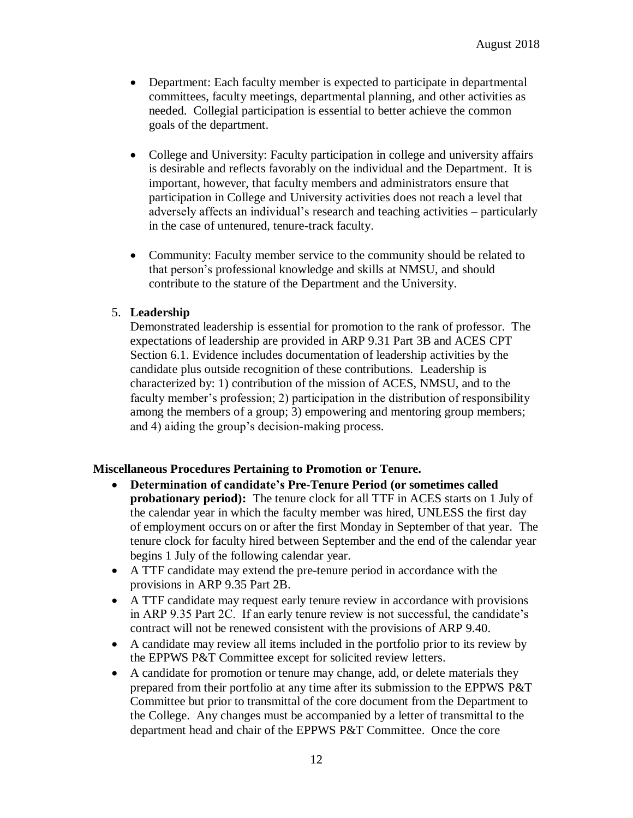- Department: Each faculty member is expected to participate in departmental committees, faculty meetings, departmental planning, and other activities as needed. Collegial participation is essential to better achieve the common goals of the department.
- College and University: Faculty participation in college and university affairs is desirable and reflects favorably on the individual and the Department. It is important, however, that faculty members and administrators ensure that participation in College and University activities does not reach a level that adversely affects an individual's research and teaching activities – particularly in the case of untenured, tenure-track faculty.
- Community: Faculty member service to the community should be related to that person's professional knowledge and skills at NMSU, and should contribute to the stature of the Department and the University.

## 5. **Leadership**

Demonstrated leadership is essential for promotion to the rank of professor. The expectations of leadership are provided in ARP 9.31 Part 3B and ACES CPT Section 6.1. Evidence includes documentation of leadership activities by the candidate plus outside recognition of these contributions. Leadership is characterized by: 1) contribution of the mission of ACES, NMSU, and to the faculty member's profession; 2) participation in the distribution of responsibility among the members of a group; 3) empowering and mentoring group members; and 4) aiding the group's decision-making process.

#### **Miscellaneous Procedures Pertaining to Promotion or Tenure.**

- **Determination of candidate's Pre-Tenure Period (or sometimes called probationary period):** The tenure clock for all TTF in ACES starts on 1 July of the calendar year in which the faculty member was hired, UNLESS the first day of employment occurs on or after the first Monday in September of that year. The tenure clock for faculty hired between September and the end of the calendar year begins 1 July of the following calendar year.
- A TTF candidate may extend the pre-tenure period in accordance with the provisions in ARP 9.35 Part 2B.
- A TTF candidate may request early tenure review in accordance with provisions in ARP 9.35 Part 2C. If an early tenure review is not successful, the candidate's contract will not be renewed consistent with the provisions of ARP 9.40.
- A candidate may review all items included in the portfolio prior to its review by the EPPWS P&T Committee except for solicited review letters.
- A candidate for promotion or tenure may change, add, or delete materials they prepared from their portfolio at any time after its submission to the EPPWS P&T Committee but prior to transmittal of the core document from the Department to the College. Any changes must be accompanied by a letter of transmittal to the department head and chair of the EPPWS P&T Committee. Once the core